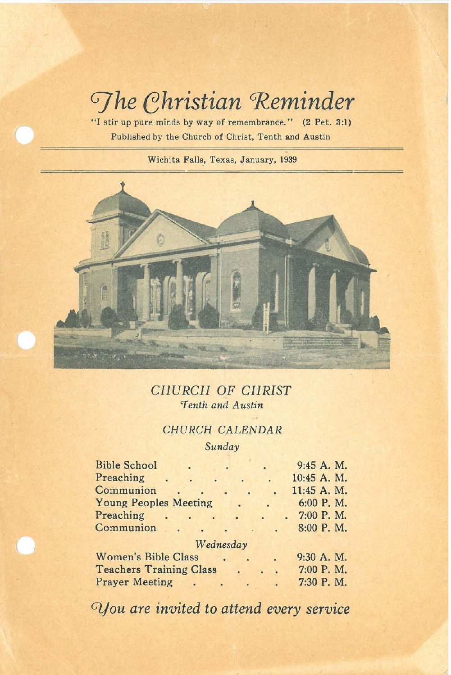# *Ghristian* Reminder

**"1 stir up pure minds by way of remembrance." (2 Pet. 3:1) Published by the Church of Christ, Tenth and Austin**

**Wichita Falls.. Texas, January, 1939**



*CHURCH* OF *CHRIST 'Tenth and Austin*

# CHURCH CALENDAR

*Sunday*

| <b>Bible School</b>            |  |                           |           | 9:45 A. M.  |  |  |  |  |  |
|--------------------------------|--|---------------------------|-----------|-------------|--|--|--|--|--|
| Preaching                      |  | $\ddot{\phantom{0}}$      |           | 10:45 A. M. |  |  |  |  |  |
| Communion                      |  | ä<br>$\ddot{\phantom{0}}$ |           | 11:45 A. M. |  |  |  |  |  |
| <b>Young Peoples Meeting</b>   |  | $\bullet$                 | $\bullet$ | 6:00 P.M.   |  |  |  |  |  |
| Preaching                      |  | $\mathbf{C}$              |           | 7:00 P.M.   |  |  |  |  |  |
| Communion                      |  |                           |           | 8:00 P.M.   |  |  |  |  |  |
| Wednesday                      |  |                           |           |             |  |  |  |  |  |
| <b>Women's Bible Class</b>     |  |                           | $\bullet$ | 9:30 A. M.  |  |  |  |  |  |
| <b>Teachers Training Class</b> |  |                           |           | 7:00 P.M.   |  |  |  |  |  |
| <b>Prayer Meeting</b>          |  |                           |           | 7:30 P.M.   |  |  |  |  |  |

*Glfou are invited to attend every service*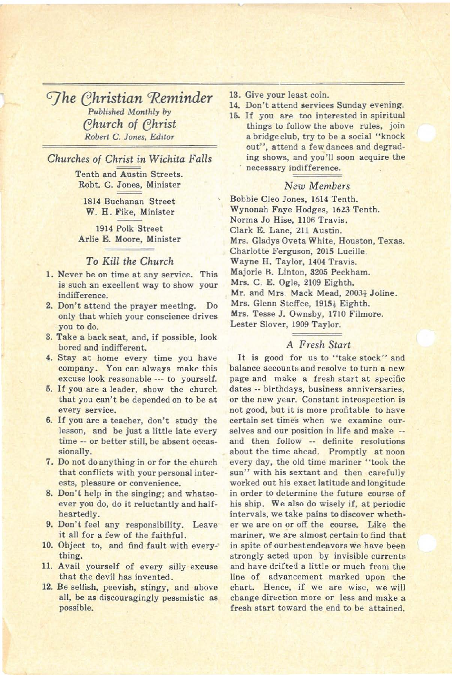*GJhe ehristian 'Reminder Published Monthly* by *ehurch of ehrist Robert* C. *Jones,* Editor

## *Churches of Christ in Wichita Falls*

Tenth and Austin Streets. Robt. C. Jones, Minister

1814 Buchanan Street W. H. Fike, Minister

1914 Polk Street Arlie E. Moore, Minister

## To *Kill the Church*

- 1. Never be on time at any service. This is such an excellent way to show your indifference.
- 2. Don't attend the prayer meeting. Do only that which your conscience drives you to do.
- 3. Take a back seat, and, if possible, look bored and indifferent.
- 4. Stay at home every time you have company. You can always make this excuse look reasonable ... to yourself.
- 6. If you are <sup>a</sup> leader, show the church that you can't be depended on to be at every service.
- 6. If you are <sup>a</sup> teacher, don't study the lesson, and be just a little late every time -- or better still, be absent occassionally.
- 7. Do not do anything in or for the church that conflicts with your personal interests, pleasure or convenience.
- 8. Don't help in the singing; and whatsoever you do, do it reluctantly and halfheartedly.
- 9. Don't feel any responsibility. Leave it all for a few of the faithful.
- 10. Object to, and find fault with every-' thing.
- 11. Avail yourself of every silly excuse that the devil has invented.
- 12. Be selfish, peevish, stingy, and above all, be as discouragingly pessmistic as possible.
- 13. Give your least coin.
- 14. Don't attend services Sunday evening.
- 15. If you are too interested in spiritual things to follow the above rules, join a bridge club, try to be a social "knock out", attend a few dances and degrading shows, and you'll soon acquire the necessary indifference.

#### *New Members*

Bobbie Cleo Jones, 1614 Tenth. Wynonah Faye Hodges, 1623 Tenth. Norma Jo Hise, 1106 Travis. Clark E. Lane, 211 Austin. Mrs. Gladys Oveta White, Houston, Texas. Charlotte Ferguson, 2015 Lucille. Wayne H. Taylor, 1404 Travis. Majorie B. Linton, 3205 Peckham. Mrs. C. E. Ogle, 2109 Eighth. Mr. and Mrs. Mack Mead, 20031 Joline. Mrs. Glenn Steffee, 1915; Eighth. Mrs. Tesse J. Ownsby, 1710 Filmore. Lester Slover, 1909 Taylor.

## A *Fresh Start*

It is good for us to "take stock" and balance accounts and resolve to turn a new page and make a fresh start at specific dates -- birthdays, business anniversaries, or the new year. Constant introspection is not good, but it is more profitable to have certain set times when we examine ourselves and our position in life and make - and then follow -- definite resolutions about the time ahead. Promptly at noon every day, the old time mariner "took the sun" with his sextant and then carefully worked out his exact latitude and longitude in order to determine the future course of his ship. We also do wisely if, at periodic intervals, we take pains to discover whether we are on or off the course. Like the mariner, we are almost certain to find that in spite of our bestendeavors we have been strongly acted upon by invisible currents and have drifted a little or much from the line of advancement marked upon the chart. Hence, if we are wise, we will change direction more or less and make a fresh start toward the end to be attained.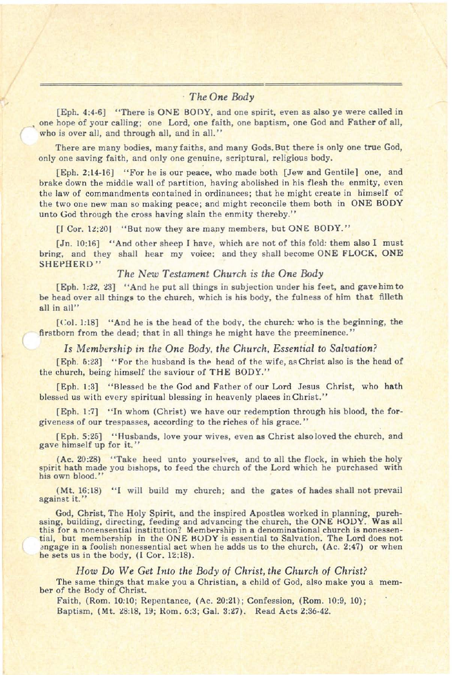## *The One Body*

[Eph. 4:4-6] "There is ONE BOOY, and one spirit, even as also ye were called in one hope of your calling; one Lord, one faith, one baptism, one God and Father of all, who is over all, and through all, and in all."

There are many bodies, many faiths, and many Gods. But there is only one true God, only one saving faith, and only one genuine, scriptural, religious body.

[Eph.2:14·16] "For he is our peace, who made both [Jew and Gentile] one, and brake down the middle wall of partition, having abolished in his flesh the enmity, even the law of commandments contained in ordinances; that he might create in himself of the two one new man so making peace; and might reconcile them both in ONE BODY unto God through the cross having slain the enmity thereby."

[I Cor. 12:20] "But now they are many members, but ONE BODY."

[Jn. 10:16] "And other sheep I have, which are not of this fold: them also I must bring, and they shall hear my voice; and they shall become ONE FLOCK, ONE SHEPHERD"

## *The New Testament Church is the One Body*

[Eph. 1:22, 23] "And he put all things in subjection under his feet, and gave him to be head over all things to the church, which is his body, the fulness of him that filleth all in all"

[Col. 1:18] "And he is the head of the body, the church: who is the beginning, the firstborn from the dead; that in all things he might have the preeminence."

*Is Membership in the One Body, the Church, Essential* to *Salvation?*

[Eph. 5:23] "For the husband is the head of the wife, as Christ also is the head of the church, being himself the saviour of THE BODY."

[Eph. 1:3] "Blessed be the God and Father of our Lord Jesus Christ, who hath blessed us with every spiritual blessing in heavenly places in Christ."

[Eph. 1:7] "In whom (Christ) we have our redemption through his blood, the forgiveness of our trespasses, according to the riches of his grace. "

[Eph.5:25] "Husbands, love your wives, even as Christ also loved the church, and gave himself up for it."

(Ae.20:28) "Take heed unto yourselve5, and to all the flock, in which the holy spirit hath made you bishops, to feed the church of the Lord which he purchased with his own blood."

(Mt.16:l8) "I will build my church; and the gates of hades shall not prevail against it."

God, Christ, The Holy Spirit, and the inspired Apostles worked in planning, purch-<br>asing, building, directing, feeding and advancing the church, the ONE HODY. Was all this for a nonensential institution? Membership in a denominational church is nonessential, but membership in the ONE BODY is essential to Salvation. The Lord does not  $\frac{1}{2}$  angage in a foolish nonessential act when he adds us to the church,  $(Ac. 2; 47)$  or when he sets us in the body, (l Cor. 12:18).

*How* Do *We Get Into the Body* 01 *Christ, the Church* 01 *Christ?* The same things that make you <sup>a</sup> Christian, <sup>a</sup> child of God, also make you <sup>a</sup> mem- ber of the Body of Christ.

Faith, (Rom. 10:10; Repentance, (Ac. 20:21); Confession, (Rom. 10:9,10); Baptism, (Mt. 28:18, 19; Rom. 6:3; Gal. 3:27). Read Acts 2:36-42.